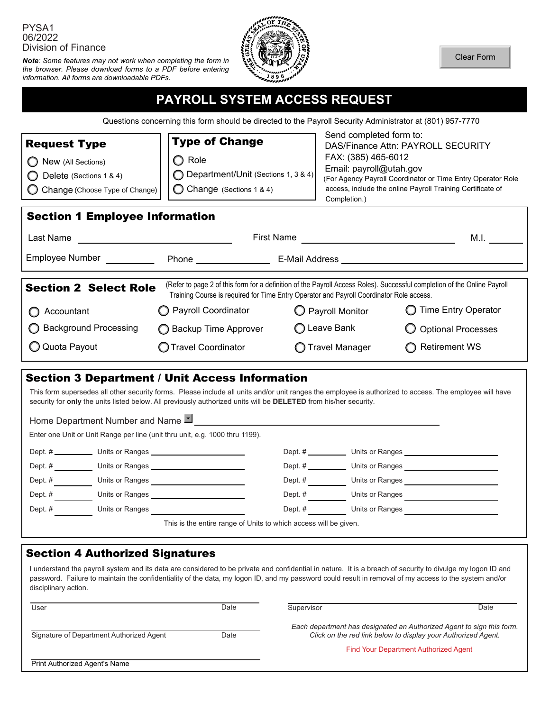### PYSA1 06/2022 Division of Finance

*Note: Some features may not work when completing the form in the browser. Please download forms to a PDF before entering information. All forms are downloadable PDFs.* 



Clear Form

# **PAYROLL SYSTEM ACCESS REQUEST**

Questions concerning this form should be directed to the Payroll Security Administrator at (801) 957-7770

| <b>Request Type</b><br>New (All Sections)<br>Delete (Sections 1 & 4)<br>Change (Choose Type of Change)<br>O                                                                                                                                          | <b>Type of Change</b><br>Role<br>◯ Department/Unit (Sections 1, 3 & 4)<br>C Change (Sections 1 & 4) | Send completed form to:<br>FAX: (385) 465-6012<br>Email: payroll@utah.gov<br>Completion.) | <b>DAS/Finance Attn: PAYROLL SECURITY</b><br>(For Agency Payroll Coordinator or Time Entry Operator Role<br>access, include the online Payroll Training Certificate of |  |  |
|------------------------------------------------------------------------------------------------------------------------------------------------------------------------------------------------------------------------------------------------------|-----------------------------------------------------------------------------------------------------|-------------------------------------------------------------------------------------------|------------------------------------------------------------------------------------------------------------------------------------------------------------------------|--|--|
| <b>Section 1 Employee Information</b>                                                                                                                                                                                                                |                                                                                                     |                                                                                           |                                                                                                                                                                        |  |  |
| Last Name                                                                                                                                                                                                                                            | First Name<br>M.I.                                                                                  |                                                                                           |                                                                                                                                                                        |  |  |
| Employee Number                                                                                                                                                                                                                                      | Phone <b>E-Mail Address E-Mail Address</b>                                                          |                                                                                           |                                                                                                                                                                        |  |  |
| (Refer to page 2 of this form for a definition of the Payroll Access Roles). Successful completion of the Online Payroll<br><b>Section 2 Select Role</b><br>Training Course is required for Time Entry Operator and Payroll Coordinator Role access. |                                                                                                     |                                                                                           |                                                                                                                                                                        |  |  |
| Accountant                                                                                                                                                                                                                                           | Payroll Coordinator                                                                                 | O Payroll Monitor                                                                         | <b>Time Entry Operator</b>                                                                                                                                             |  |  |
| <b>Background Processing</b>                                                                                                                                                                                                                         | ◯ Backup Time Approver                                                                              | ◯ Leave Bank                                                                              | <b>Optional Processes</b>                                                                                                                                              |  |  |
| Q Quota Payout                                                                                                                                                                                                                                       | <b>Travel Coordinator</b>                                                                           | Travel Manager                                                                            | <b>Retirement WS</b>                                                                                                                                                   |  |  |

| ◯ Background Processing |                                          | ◯ Backup Time Approver                                                                                                                                                                                                                                                      | ◯ Leave Bank     |  | <b>Optional Processes</b>                                                                                                                                                                                                              |  |  |
|-------------------------|------------------------------------------|-----------------------------------------------------------------------------------------------------------------------------------------------------------------------------------------------------------------------------------------------------------------------------|------------------|--|----------------------------------------------------------------------------------------------------------------------------------------------------------------------------------------------------------------------------------------|--|--|
| Q Quota Payout          |                                          | <b>O</b> Travel Coordinator                                                                                                                                                                                                                                                 | ◯ Travel Manager |  | <b>Retirement WS</b>                                                                                                                                                                                                                   |  |  |
|                         |                                          |                                                                                                                                                                                                                                                                             |                  |  |                                                                                                                                                                                                                                        |  |  |
|                         |                                          | Section 3 Department / Unit Access Information                                                                                                                                                                                                                              |                  |  |                                                                                                                                                                                                                                        |  |  |
|                         |                                          | This form supersedes all other security forms. Please include all units and/or unit ranges the employee is authorized to access. The employee will have<br>security for only the units listed below. All previously authorized units will be DELETED from his/her security. |                  |  |                                                                                                                                                                                                                                        |  |  |
|                         |                                          | Home Department Number and Name LI LEASE AND THE RESERVE TO A REPORT OF THE RESERVE TO A REPORT OF THE RESERVE TO A REPORT OF THE RESERVE TO A REPORT OF THE RESERVE TO A REPORT OF THE REPORT OF THE RESERVE TO A REPORT OF T                                              |                  |  |                                                                                                                                                                                                                                        |  |  |
|                         |                                          | Enter one Unit or Unit Range per line (unit thru unit, e.g. 1000 thru 1199).                                                                                                                                                                                                |                  |  |                                                                                                                                                                                                                                        |  |  |
|                         |                                          |                                                                                                                                                                                                                                                                             |                  |  |                                                                                                                                                                                                                                        |  |  |
|                         |                                          | Dept. # ____________________ Units or Ranges ___________________________________                                                                                                                                                                                            |                  |  |                                                                                                                                                                                                                                        |  |  |
| Dept. $#$               |                                          |                                                                                                                                                                                                                                                                             | Dept. $#$        |  | Units or Ranges<br><u>Letter and the set of the set of the set of the set of the set of the set of the set of the set of the set of the set of the set of the set of the set of the set of the set of the set of the set of the se</u> |  |  |
| Dept. #                 |                                          |                                                                                                                                                                                                                                                                             |                  |  |                                                                                                                                                                                                                                        |  |  |
|                         |                                          | Dept. # Units or Ranges                                                                                                                                                                                                                                                     | Dept. $#$        |  | Units or Ranges                                                                                                                                                                                                                        |  |  |
|                         |                                          | This is the entire range of Units to which access will be given.                                                                                                                                                                                                            |                  |  |                                                                                                                                                                                                                                        |  |  |
|                         |                                          |                                                                                                                                                                                                                                                                             |                  |  |                                                                                                                                                                                                                                        |  |  |
|                         | <b>Section 4 Authorized Signatures</b>   |                                                                                                                                                                                                                                                                             |                  |  |                                                                                                                                                                                                                                        |  |  |
|                         |                                          | I understand the payroll system and its data are considered to be private and confidential in nature. It is a breach of security to divulge my logon ID and                                                                                                                 |                  |  |                                                                                                                                                                                                                                        |  |  |
| disciplinary action.    |                                          | password. Failure to maintain the confidentiality of the data, my logon ID, and my password could result in removal of my access to the system and/or                                                                                                                       |                  |  |                                                                                                                                                                                                                                        |  |  |
| User                    |                                          | Date                                                                                                                                                                                                                                                                        | Supervisor       |  | Date                                                                                                                                                                                                                                   |  |  |
|                         |                                          |                                                                                                                                                                                                                                                                             |                  |  | Each department has designated an Authorized Agent to sign this form.                                                                                                                                                                  |  |  |
|                         | Signature of Department Authorized Agent | Date                                                                                                                                                                                                                                                                        |                  |  | Click on the red link below to display your Authorized Agent.                                                                                                                                                                          |  |  |
|                         |                                          |                                                                                                                                                                                                                                                                             |                  |  | <b>Find Your Department Authorized Agent</b>                                                                                                                                                                                           |  |  |
|                         | <b>Print Authorized Agent's Name</b>     |                                                                                                                                                                                                                                                                             |                  |  |                                                                                                                                                                                                                                        |  |  |

| User                                     | Date | Supervisor                                                                                                                             | Date |  |
|------------------------------------------|------|----------------------------------------------------------------------------------------------------------------------------------------|------|--|
| Signature of Department Authorized Agent | Date | Each department has designated an Authorized Agent to sign this form.<br>Click on the red link below to display your Authorized Agent. |      |  |
|                                          |      | Find Your Department Authorized Agent                                                                                                  |      |  |
| Print Authorized Agent's Name            |      |                                                                                                                                        |      |  |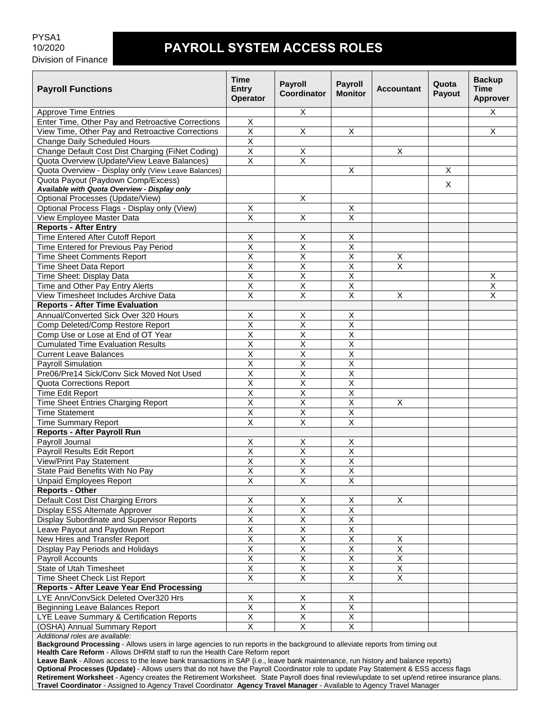# **PAYROLL SYSTEM ACCESS ROLES**

| <b>Payroll Functions</b>                            | <b>Time</b><br><b>Entry</b><br><b>Operator</b> | <b>Payroll</b><br>Coordinator | <b>Payroll</b><br><b>Monitor</b> | <b>Accountant</b>       | Quota<br>Payout | <b>Backup</b><br><b>Time</b><br><b>Approver</b> |
|-----------------------------------------------------|------------------------------------------------|-------------------------------|----------------------------------|-------------------------|-----------------|-------------------------------------------------|
| <b>Approve Time Entries</b>                         |                                                | X                             |                                  |                         |                 | X                                               |
| Enter Time, Other Pay and Retroactive Corrections   | X                                              |                               |                                  |                         |                 |                                                 |
| View Time, Other Pay and Retroactive Corrections    | $\overline{\mathsf{x}}$                        | $\overline{\mathsf{x}}$       | X                                |                         |                 | X                                               |
| Change Daily Scheduled Hours                        | $\overline{\mathsf{x}}$                        |                               |                                  |                         |                 |                                                 |
| Change Default Cost Dist Charging (FiNet Coding)    | Χ                                              | X                             |                                  | Χ                       |                 |                                                 |
| Quota Overview (Update/View Leave Balances)         | $\overline{\mathsf{x}}$                        | $\overline{\mathsf{x}}$       |                                  |                         |                 |                                                 |
| Quota Overview - Display only (View Leave Balances) |                                                |                               | X                                |                         | X               |                                                 |
| Quota Payout (Paydown Comp/Excess)                  |                                                |                               |                                  |                         |                 |                                                 |
| Available with Quota Overview - Display only        |                                                |                               |                                  |                         | X.              |                                                 |
| Optional Processes (Update/View)                    |                                                | $\overline{X}$                |                                  |                         |                 |                                                 |
| Optional Process Flags - Display only (View)        | X                                              |                               | X                                |                         |                 |                                                 |
| View Employee Master Data                           | X                                              | X                             | $\pmb{\times}$                   |                         |                 |                                                 |
| <b>Reports - After Entry</b>                        |                                                |                               |                                  |                         |                 |                                                 |
| Time Entered After Cutoff Report                    | х                                              | X                             | X                                |                         |                 |                                                 |
| Time Entered for Previous Pay Period                | $\overline{\mathsf{x}}$                        | $\overline{\mathsf{X}}$       | $\overline{\mathsf{X}}$          |                         |                 |                                                 |
| <b>Time Sheet Comments Report</b>                   | $\overline{\mathsf{x}}$                        | $\overline{\mathsf{x}}$       | $\overline{\mathsf{x}}$          | Χ                       |                 |                                                 |
| Time Sheet Data Report                              | $\overline{\mathsf{x}}$                        | $\overline{\mathsf{x}}$       | $\overline{\mathsf{x}}$          | $\overline{\mathsf{x}}$ |                 |                                                 |
| Time Sheet: Display Data                            | X                                              | $\pmb{\times}$                | $\overline{\mathsf{x}}$          |                         |                 | X                                               |
| Time and Other Pay Entry Alerts                     | Χ                                              | X                             | Χ                                |                         |                 | Χ                                               |
| View Timesheet Includes Archive Data                | X                                              | $\overline{\mathsf{x}}$       | $\overline{X}$                   | $\mathsf X$             |                 | $\mathsf X$                                     |
| <b>Reports - After Time Evaluation</b>              |                                                |                               |                                  |                         |                 |                                                 |
| Annual/Converted Sick Over 320 Hours                | х                                              | X                             | х                                |                         |                 |                                                 |
| Comp Deleted/Comp Restore Report                    | $\overline{\mathsf{x}}$                        | $\overline{\mathsf{x}}$       | $\overline{\mathsf{X}}$          |                         |                 |                                                 |
| Comp Use or Lose at End of OT Year                  | Χ                                              | $\pmb{\times}$                | $\mathsf X$                      |                         |                 |                                                 |
| <b>Cumulated Time Evaluation Results</b>            | X                                              | X                             | $\overline{\mathsf{X}}$          |                         |                 |                                                 |
| <b>Current Leave Balances</b>                       | $\overline{\mathsf{x}}$                        | $\overline{\mathsf{x}}$       | $\overline{\mathsf{x}}$          |                         |                 |                                                 |
| <b>Payroll Simulation</b>                           | $\overline{\mathsf{x}}$                        | $\overline{\mathsf{x}}$       | $\overline{\mathsf{x}}$          |                         |                 |                                                 |
| Pre06/Pre14 Sick/Conv Sick Moved Not Used           | $\overline{\mathsf{x}}$                        | $\overline{\mathsf{x}}$       | $\overline{X}$                   |                         |                 |                                                 |
| <b>Quota Corrections Report</b>                     | X                                              | $\pmb{\times}$                | $\sf X$                          |                         |                 |                                                 |
| Time Edit Report                                    | X                                              | $\overline{\mathsf{x}}$       | Χ                                |                         |                 |                                                 |
| Time Sheet Entries Charging Report                  | $\overline{\mathsf{x}}$                        | $\overline{\mathsf{x}}$       | $\overline{\mathsf{x}}$          | X                       |                 |                                                 |
| <b>Time Statement</b>                               | $\overline{\mathsf{x}}$                        | $\overline{\mathsf{x}}$       | $\overline{\mathsf{x}}$          |                         |                 |                                                 |
| <b>Time Summary Report</b>                          | $\overline{\mathsf{x}}$                        | $\overline{\mathsf{x}}$       | $\overline{\mathsf{x}}$          |                         |                 |                                                 |
| <b>Reports - After Payroll Run</b>                  |                                                |                               |                                  |                         |                 |                                                 |
| Payroll Journal                                     | х                                              | X                             | X                                |                         |                 |                                                 |
| Payroll Results Edit Report                         | $\overline{\mathsf{x}}$                        | $\overline{\mathsf{X}}$       | $\overline{\mathsf{x}}$          |                         |                 |                                                 |
| View/Print Pay Statement                            | $\overline{\mathsf{x}}$                        | $\overline{\mathsf{x}}$       | $\overline{\mathsf{x}}$          |                         |                 |                                                 |
| State Paid Benefits With No Pay                     | $\overline{\mathsf{X}}$                        | $\overline{\mathsf{X}}$       | $\overline{\mathsf{X}}$          |                         |                 |                                                 |
| <b>Unpaid Employees Report</b>                      | X                                              | $\overline{\mathsf{x}}$       | $\overline{X}$                   |                         |                 |                                                 |
| <b>Reports - Other</b>                              |                                                |                               |                                  |                         |                 |                                                 |
| Default Cost Dist Charging Errors                   | X                                              | $\sf X$                       | $\sf X$                          | $\mathsf X$             |                 |                                                 |
| Display ESS Alternate Approver                      | $\overline{\mathsf{x}}$                        | $\overline{X}$                | $\overline{\mathsf{X}}$          |                         |                 |                                                 |
| Display Subordinate and Supervisor Reports          | $\overline{\mathsf{X}}$                        | $\overline{\mathsf{X}}$       | $\overline{\mathsf{X}}$          |                         |                 |                                                 |
| Leave Payout and Paydown Report                     | $\overline{X}$                                 | $\overline{X}$                | $\overline{X}$                   |                         |                 |                                                 |
| New Hires and Transfer Report                       | Χ                                              | $\mathsf X$                   | X                                | X                       |                 |                                                 |
| Display Pay Periods and Holidays                    | $\overline{\mathsf{x}}$                        | $\overline{X}$                | $\overline{X}$                   | $\overline{\mathsf{X}}$ |                 |                                                 |
| Payroll Accounts                                    | $\overline{\mathsf{x}}$                        | $\overline{\mathsf{X}}$       | $\overline{X}$                   | $\overline{X}$          |                 |                                                 |
| <b>State of Utah Timesheet</b>                      | $\overline{\mathsf{X}}$                        | $\overline{X}$                | $\overline{X}$                   | $\overline{X}$          |                 |                                                 |
| Time Sheet Check List Report                        | $\overline{\mathsf{x}}$                        | $\overline{X}$                | $\overline{\mathsf{x}}$          | $\overline{X}$          |                 |                                                 |
| <b>Reports - After Leave Year End Processing</b>    |                                                |                               |                                  |                         |                 |                                                 |
| LYE Ann/ConvSick Deleted Over320 Hrs                | X                                              | X                             | X                                |                         |                 |                                                 |
| <b>Beginning Leave Balances Report</b>              | $\overline{\mathsf{X}}$                        | $\overline{\mathsf{X}}$       | $\overline{X}$                   |                         |                 |                                                 |
| LYE Leave Summary & Certification Reports           | $\overline{\mathsf{x}}$                        | $\overline{X}$                | $\overline{\mathsf{X}}$          |                         |                 |                                                 |
| (OSHA) Annual Summary Report                        | $\overline{\mathsf{x}}$                        | $\overline{X}$                | $\overline{X}$                   |                         |                 |                                                 |
| Additional roles are available:                     |                                                |                               |                                  |                         |                 |                                                 |

*Additional roles are available:*

**Background Processing** - Allows users in large agencies to run reports in the background to alleviate reports from timing out **Health Care Reform** - Allows DHRM staff to run the Health Care Reform report

**Leave Bank** - Allows access to the leave bank transactions in SAP (i.e., leave bank maintenance, run history and balance reports) **Optional Processes (Update)** - Allows users that do not have the Payroll Coordinator role to update Pay Statement & ESS access flags **Retirement Worksheet** - Agency creates the Retirement Worksheet. State Payroll does final review/update to set up/end retiree insurance plans. **Travel Coordinator** - Assigned to Agency Travel Coordinator **Agency Travel Manager** - Available to Agency Travel Manager